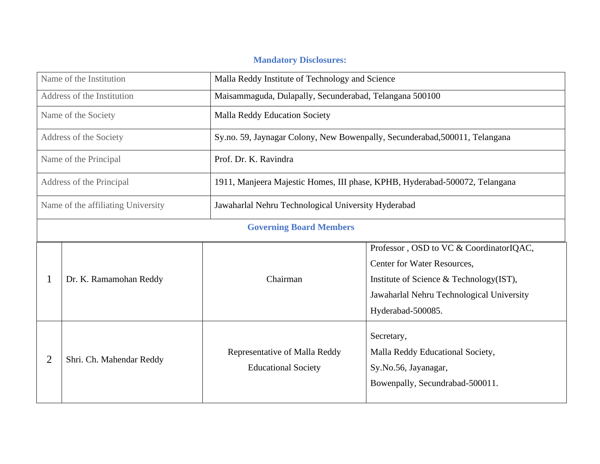## **Mandatory Disclosures:**

| Name of the Institution            |                          | Malla Reddy Institute of Technology and Science             |                                                                                                                                                                                     |  |  |  |  |
|------------------------------------|--------------------------|-------------------------------------------------------------|-------------------------------------------------------------------------------------------------------------------------------------------------------------------------------------|--|--|--|--|
| Address of the Institution         |                          |                                                             | Maisammaguda, Dulapally, Secunderabad, Telangana 500100                                                                                                                             |  |  |  |  |
| Name of the Society                |                          | <b>Malla Reddy Education Society</b>                        |                                                                                                                                                                                     |  |  |  |  |
| Address of the Society             |                          |                                                             | Sy.no. 59, Jaynagar Colony, New Bowenpally, Secunderabad, 500011, Telangana                                                                                                         |  |  |  |  |
|                                    | Name of the Principal    | Prof. Dr. K. Ravindra                                       |                                                                                                                                                                                     |  |  |  |  |
|                                    | Address of the Principal |                                                             | 1911, Manjeera Majestic Homes, III phase, KPHB, Hyderabad-500072, Telangana                                                                                                         |  |  |  |  |
| Name of the affiliating University |                          | Jawaharlal Nehru Technological University Hyderabad         |                                                                                                                                                                                     |  |  |  |  |
|                                    |                          | <b>Governing Board Members</b>                              |                                                                                                                                                                                     |  |  |  |  |
|                                    | Dr. K. Ramamohan Reddy   | Chairman                                                    | Professor, OSD to VC & CoordinatorIQAC,<br>Center for Water Resources,<br>Institute of Science & Technology(IST),<br>Jawaharlal Nehru Technological University<br>Hyderabad-500085. |  |  |  |  |
| 2<br>Shri. Ch. Mahendar Reddy      |                          | Representative of Malla Reddy<br><b>Educational Society</b> | Secretary,<br>Malla Reddy Educational Society,<br>Sy.No.56, Jayanagar,<br>Bowenpally, Secundrabad-500011.                                                                           |  |  |  |  |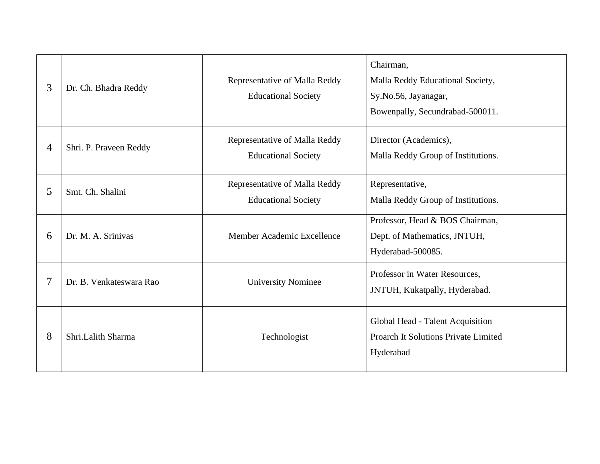| 3 | Dr. Ch. Bhadra Reddy    | Representative of Malla Reddy<br><b>Educational Society</b> | Chairman,<br>Malla Reddy Educational Society,<br>Sy.No.56, Jayanagar,<br>Bowenpally, Secundrabad-500011. |
|---|-------------------------|-------------------------------------------------------------|----------------------------------------------------------------------------------------------------------|
| 4 | Shri. P. Praveen Reddy  | Representative of Malla Reddy<br><b>Educational Society</b> | Director (Academics),<br>Malla Reddy Group of Institutions.                                              |
| 5 | Smt. Ch. Shalini        | Representative of Malla Reddy<br><b>Educational Society</b> | Representative,<br>Malla Reddy Group of Institutions.                                                    |
| 6 | Dr. M. A. Srinivas      | Member Academic Excellence                                  | Professor, Head & BOS Chairman,<br>Dept. of Mathematics, JNTUH,<br>Hyderabad-500085.                     |
|   | Dr. B. Venkateswara Rao | <b>University Nominee</b>                                   | Professor in Water Resources,<br>JNTUH, Kukatpally, Hyderabad.                                           |
| 8 | Shri.Lalith Sharma      | Technologist                                                | Global Head - Talent Acquisition<br><b>Proarch It Solutions Private Limited</b><br>Hyderabad             |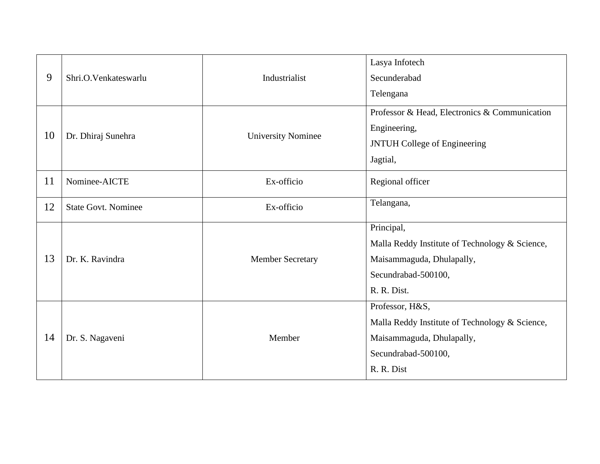| 9  | Shri.O.Venkateswarlu       | Industrialist             | Lasya Infotech<br>Secunderabad<br>Telengana                                                                                         |
|----|----------------------------|---------------------------|-------------------------------------------------------------------------------------------------------------------------------------|
| 10 | Dr. Dhiraj Sunehra         | <b>University Nominee</b> | Professor & Head, Electronics & Communication<br>Engineering,<br><b>JNTUH College of Engineering</b><br>Jagtial,                    |
| 11 | Nominee-AICTE              | Ex-officio                | Regional officer                                                                                                                    |
| 12 | <b>State Govt. Nominee</b> | Ex-officio                | Telangana,                                                                                                                          |
| 13 | Dr. K. Ravindra            | <b>Member Secretary</b>   | Principal,<br>Malla Reddy Institute of Technology & Science,<br>Maisammaguda, Dhulapally,<br>Secundrabad-500100,<br>R. R. Dist.     |
| 14 | Dr. S. Nagaveni            | Member                    | Professor, H&S,<br>Malla Reddy Institute of Technology & Science,<br>Maisammaguda, Dhulapally,<br>Secundrabad-500100,<br>R. R. Dist |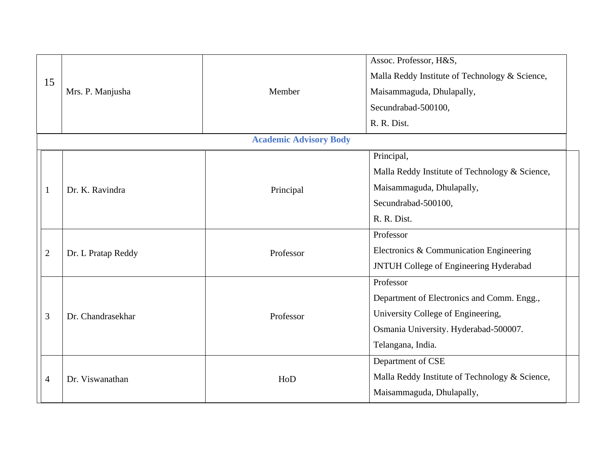|                |                    |                               | Assoc. Professor, H&S,                                     |
|----------------|--------------------|-------------------------------|------------------------------------------------------------|
| 15             |                    |                               | Malla Reddy Institute of Technology & Science,             |
|                | Mrs. P. Manjusha   | Member                        | Maisammaguda, Dhulapally,                                  |
|                |                    |                               | Secundrabad-500100,                                        |
|                |                    |                               | R. R. Dist.                                                |
|                |                    | <b>Academic Advisory Body</b> |                                                            |
|                |                    |                               | Principal,                                                 |
|                |                    |                               | Malla Reddy Institute of Technology & Science,             |
|                | Dr. K. Ravindra    | Principal                     | Maisammaguda, Dhulapally,                                  |
|                |                    |                               | Secundrabad-500100,                                        |
|                |                    |                               | R. R. Dist.                                                |
|                |                    |                               | Professor                                                  |
| $\overline{2}$ | Dr. L Pratap Reddy | Professor                     | Electronics & Communication Engineering                    |
|                |                    |                               | JNTUH College of Engineering Hyderabad                     |
|                |                    |                               | Professor                                                  |
|                |                    | Professor                     | Department of Electronics and Comm. Engg.,                 |
| 3              | Dr. Chandrasekhar  |                               | University College of Engineering,                         |
|                |                    |                               | Osmania University. Hyderabad-500007.<br>Telangana, India. |
|                |                    |                               |                                                            |
|                |                    |                               | Department of CSE                                          |
| 4              | Dr. Viswanathan    | HoD                           | Malla Reddy Institute of Technology & Science,             |
|                |                    |                               | Maisammaguda, Dhulapally,                                  |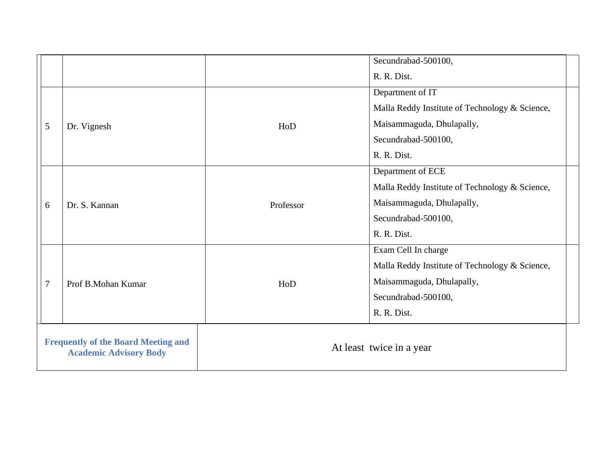|                |                                                                             |                          | Secundrabad-500100,                            |
|----------------|-----------------------------------------------------------------------------|--------------------------|------------------------------------------------|
|                |                                                                             |                          | R. R. Dist.                                    |
|                |                                                                             |                          | Department of IT                               |
|                |                                                                             |                          | Malla Reddy Institute of Technology & Science, |
| 5              | Dr. Vignesh                                                                 | HoD                      | Maisammaguda, Dhulapally,                      |
|                |                                                                             |                          | Secundrabad-500100,                            |
|                |                                                                             |                          | R. R. Dist.                                    |
|                |                                                                             |                          | Department of ECE                              |
|                |                                                                             |                          | Malla Reddy Institute of Technology & Science, |
| 6              | Dr. S. Kannan                                                               | Professor                | Maisammaguda, Dhulapally,                      |
|                |                                                                             |                          | Secundrabad-500100,                            |
|                |                                                                             |                          | R. R. Dist.                                    |
|                |                                                                             |                          | Exam Cell In charge                            |
|                |                                                                             |                          | Malla Reddy Institute of Technology & Science, |
| $\overline{7}$ | Maisammaguda, Dhulapally,<br>Prof B.Mohan Kumar<br>HoD                      |                          |                                                |
|                |                                                                             |                          | Secundrabad-500100,                            |
|                |                                                                             |                          | R. R. Dist.                                    |
|                | <b>Frequently of the Board Meeting and</b><br><b>Academic Advisory Body</b> | At least twice in a year |                                                |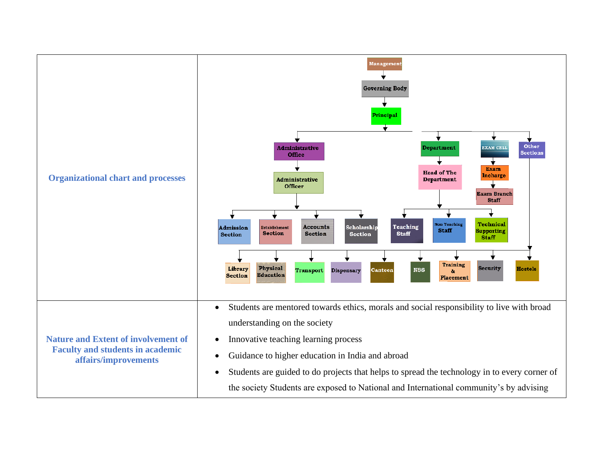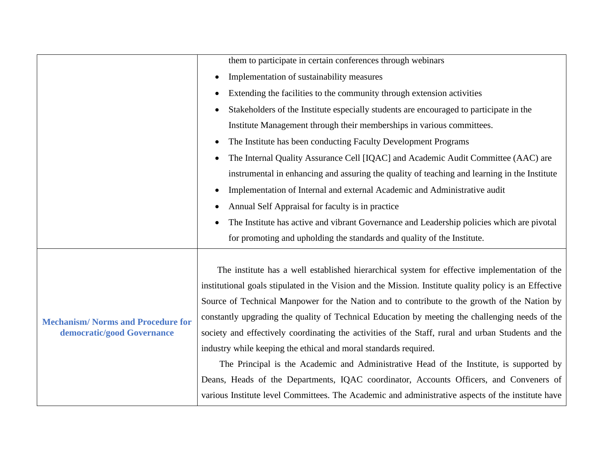|                                          | them to participate in certain conferences through webinars                                            |  |  |  |
|------------------------------------------|--------------------------------------------------------------------------------------------------------|--|--|--|
|                                          | Implementation of sustainability measures<br>$\bullet$                                                 |  |  |  |
|                                          | Extending the facilities to the community through extension activities<br>$\bullet$                    |  |  |  |
|                                          | Stakeholders of the Institute especially students are encouraged to participate in the                 |  |  |  |
|                                          | Institute Management through their memberships in various committees.                                  |  |  |  |
|                                          | The Institute has been conducting Faculty Development Programs<br>$\bullet$                            |  |  |  |
|                                          | The Internal Quality Assurance Cell [IQAC] and Academic Audit Committee (AAC) are<br>$\bullet$         |  |  |  |
|                                          | instrumental in enhancing and assuring the quality of teaching and learning in the Institute           |  |  |  |
|                                          | Implementation of Internal and external Academic and Administrative audit<br>$\bullet$                 |  |  |  |
|                                          | Annual Self Appraisal for faculty is in practice<br>$\bullet$                                          |  |  |  |
|                                          | The Institute has active and vibrant Governance and Leadership policies which are pivotal              |  |  |  |
|                                          | for promoting and upholding the standards and quality of the Institute.                                |  |  |  |
|                                          |                                                                                                        |  |  |  |
|                                          | The institute has a well established hierarchical system for effective implementation of the           |  |  |  |
|                                          | institutional goals stipulated in the Vision and the Mission. Institute quality policy is an Effective |  |  |  |
|                                          | Source of Technical Manpower for the Nation and to contribute to the growth of the Nation by           |  |  |  |
| <b>Mechanism/Norms and Procedure for</b> | constantly upgrading the quality of Technical Education by meeting the challenging needs of the        |  |  |  |
| democratic/good Governance               | society and effectively coordinating the activities of the Staff, rural and urban Students and the     |  |  |  |
|                                          | industry while keeping the ethical and moral standards required.                                       |  |  |  |
|                                          | The Principal is the Academic and Administrative Head of the Institute, is supported by                |  |  |  |
|                                          | Deans, Heads of the Departments, IQAC coordinator, Accounts Officers, and Conveners of                 |  |  |  |
|                                          | various Institute level Committees. The Academic and administrative aspects of the institute have      |  |  |  |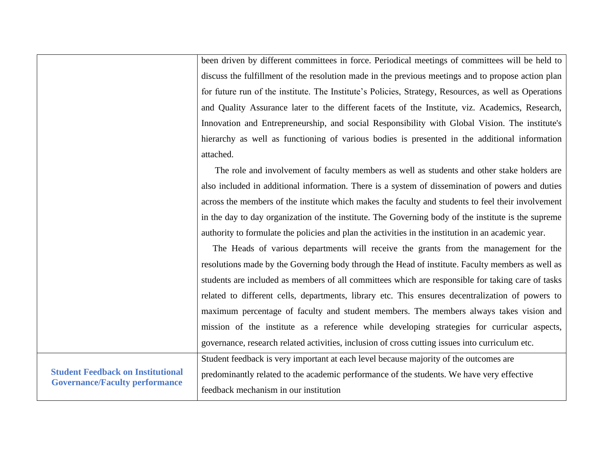been driven by different committees in force. Periodical meetings of committees will be held to discuss the fulfillment of the resolution made in the previous meetings and to propose action plan for future run of the institute. The Institute's Policies, Strategy, Resources, as well as Operations and Quality Assurance later to the different facets of the Institute, viz. Academics, Research, Innovation and Entrepreneurship, and social Responsibility with Global Vision. The institute's hierarchy as well as functioning of various bodies is presented in the additional information attached.

 The role and involvement of faculty members as well as students and other stake holders are also included in additional information. There is a system of dissemination of powers and duties across the members of the institute which makes the faculty and students to feel their involvement in the day to day organization of the institute. The Governing body of the institute is the supreme authority to formulate the policies and plan the activities in the institution in an academic year.

 The Heads of various departments will receive the grants from the management for the resolutions made by the Governing body through the Head of institute. Faculty members as well as students are included as members of all committees which are responsible for taking care of tasks related to different cells, departments, library etc. This ensures decentralization of powers to maximum percentage of faculty and student members. The members always takes vision and mission of the institute as a reference while developing strategies for curricular aspects, governance, research related activities, inclusion of cross cutting issues into curriculum etc.

Student feedback is very important at each level because majority of the outcomes are predominantly related to the academic performance of the students. We have very effective feedback mechanism in our institution

**Student Feedback on Institutional Governance/Faculty performance**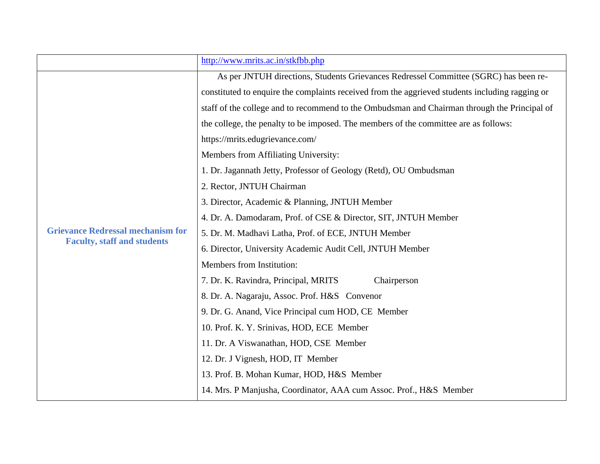|                                          | http://www.mrits.ac.in/stkfbb.php                                                                                                                                                                                                                                                                                                                                                                                                                                                                                                                                                                                                                                                                                                                                                                                                                                                                                                                                                                                                                                                                                             |  |  |  |  |
|------------------------------------------|-------------------------------------------------------------------------------------------------------------------------------------------------------------------------------------------------------------------------------------------------------------------------------------------------------------------------------------------------------------------------------------------------------------------------------------------------------------------------------------------------------------------------------------------------------------------------------------------------------------------------------------------------------------------------------------------------------------------------------------------------------------------------------------------------------------------------------------------------------------------------------------------------------------------------------------------------------------------------------------------------------------------------------------------------------------------------------------------------------------------------------|--|--|--|--|
|                                          | As per JNTUH directions, Students Grievances Redressel Committee (SGRC) has been re-<br>constituted to enquire the complaints received from the aggrieved students including ragging or<br>staff of the college and to recommend to the Ombudsman and Chairman through the Principal of<br>the college, the penalty to be imposed. The members of the committee are as follows:<br>https://mrits.edugrievance.com/<br>Members from Affiliating University:<br>1. Dr. Jagannath Jetty, Professor of Geology (Retd), OU Ombudsman<br>2. Rector, JNTUH Chairman<br>3. Director, Academic & Planning, JNTUH Member<br>4. Dr. A. Damodaram, Prof. of CSE & Director, SIT, JNTUH Member<br>5. Dr. M. Madhavi Latha, Prof. of ECE, JNTUH Member<br><b>Faculty, staff and students</b><br>6. Director, University Academic Audit Cell, JNTUH Member<br>Members from Institution:<br>7. Dr. K. Ravindra, Principal, MRITS<br>Chairperson<br>8. Dr. A. Nagaraju, Assoc. Prof. H&S Convenor<br>9. Dr. G. Anand, Vice Principal cum HOD, CE Member<br>10. Prof. K. Y. Srinivas, HOD, ECE Member<br>11. Dr. A Viswanathan, HOD, CSE Member |  |  |  |  |
|                                          |                                                                                                                                                                                                                                                                                                                                                                                                                                                                                                                                                                                                                                                                                                                                                                                                                                                                                                                                                                                                                                                                                                                               |  |  |  |  |
|                                          |                                                                                                                                                                                                                                                                                                                                                                                                                                                                                                                                                                                                                                                                                                                                                                                                                                                                                                                                                                                                                                                                                                                               |  |  |  |  |
|                                          |                                                                                                                                                                                                                                                                                                                                                                                                                                                                                                                                                                                                                                                                                                                                                                                                                                                                                                                                                                                                                                                                                                                               |  |  |  |  |
|                                          |                                                                                                                                                                                                                                                                                                                                                                                                                                                                                                                                                                                                                                                                                                                                                                                                                                                                                                                                                                                                                                                                                                                               |  |  |  |  |
|                                          |                                                                                                                                                                                                                                                                                                                                                                                                                                                                                                                                                                                                                                                                                                                                                                                                                                                                                                                                                                                                                                                                                                                               |  |  |  |  |
|                                          |                                                                                                                                                                                                                                                                                                                                                                                                                                                                                                                                                                                                                                                                                                                                                                                                                                                                                                                                                                                                                                                                                                                               |  |  |  |  |
|                                          |                                                                                                                                                                                                                                                                                                                                                                                                                                                                                                                                                                                                                                                                                                                                                                                                                                                                                                                                                                                                                                                                                                                               |  |  |  |  |
|                                          |                                                                                                                                                                                                                                                                                                                                                                                                                                                                                                                                                                                                                                                                                                                                                                                                                                                                                                                                                                                                                                                                                                                               |  |  |  |  |
|                                          |                                                                                                                                                                                                                                                                                                                                                                                                                                                                                                                                                                                                                                                                                                                                                                                                                                                                                                                                                                                                                                                                                                                               |  |  |  |  |
| <b>Grievance Redressal mechanism for</b> |                                                                                                                                                                                                                                                                                                                                                                                                                                                                                                                                                                                                                                                                                                                                                                                                                                                                                                                                                                                                                                                                                                                               |  |  |  |  |
|                                          |                                                                                                                                                                                                                                                                                                                                                                                                                                                                                                                                                                                                                                                                                                                                                                                                                                                                                                                                                                                                                                                                                                                               |  |  |  |  |
|                                          |                                                                                                                                                                                                                                                                                                                                                                                                                                                                                                                                                                                                                                                                                                                                                                                                                                                                                                                                                                                                                                                                                                                               |  |  |  |  |
|                                          |                                                                                                                                                                                                                                                                                                                                                                                                                                                                                                                                                                                                                                                                                                                                                                                                                                                                                                                                                                                                                                                                                                                               |  |  |  |  |
|                                          |                                                                                                                                                                                                                                                                                                                                                                                                                                                                                                                                                                                                                                                                                                                                                                                                                                                                                                                                                                                                                                                                                                                               |  |  |  |  |
|                                          |                                                                                                                                                                                                                                                                                                                                                                                                                                                                                                                                                                                                                                                                                                                                                                                                                                                                                                                                                                                                                                                                                                                               |  |  |  |  |
|                                          |                                                                                                                                                                                                                                                                                                                                                                                                                                                                                                                                                                                                                                                                                                                                                                                                                                                                                                                                                                                                                                                                                                                               |  |  |  |  |
|                                          |                                                                                                                                                                                                                                                                                                                                                                                                                                                                                                                                                                                                                                                                                                                                                                                                                                                                                                                                                                                                                                                                                                                               |  |  |  |  |
|                                          | 12. Dr. J Vignesh, HOD, IT Member                                                                                                                                                                                                                                                                                                                                                                                                                                                                                                                                                                                                                                                                                                                                                                                                                                                                                                                                                                                                                                                                                             |  |  |  |  |
|                                          | 13. Prof. B. Mohan Kumar, HOD, H&S Member                                                                                                                                                                                                                                                                                                                                                                                                                                                                                                                                                                                                                                                                                                                                                                                                                                                                                                                                                                                                                                                                                     |  |  |  |  |
|                                          | 14. Mrs. P Manjusha, Coordinator, AAA cum Assoc. Prof., H&S Member                                                                                                                                                                                                                                                                                                                                                                                                                                                                                                                                                                                                                                                                                                                                                                                                                                                                                                                                                                                                                                                            |  |  |  |  |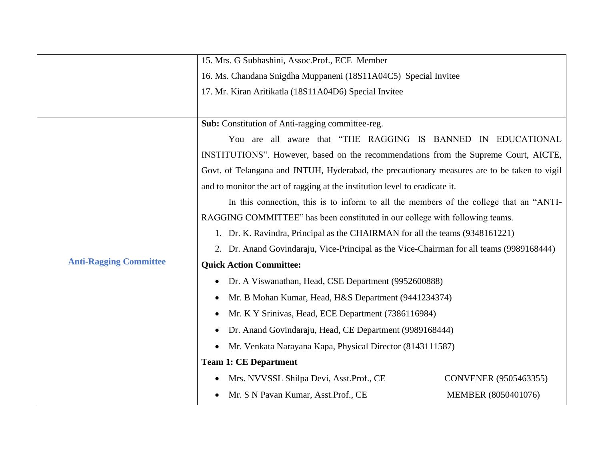|                               | 16. Ms. Chandana Snigdha Muppaneni (18S11A04C5) Special Invitee                              |                       |  |  |  |
|-------------------------------|----------------------------------------------------------------------------------------------|-----------------------|--|--|--|
|                               | 17. Mr. Kiran Aritikatla (18S11A04D6) Special Invitee                                        |                       |  |  |  |
|                               |                                                                                              |                       |  |  |  |
|                               | Sub: Constitution of Anti-ragging committee-reg.                                             |                       |  |  |  |
|                               | You are all aware that "THE RAGGING IS BANNED IN EDUCATIONAL                                 |                       |  |  |  |
|                               | INSTITUTIONS". However, based on the recommendations from the Supreme Court, AICTE,          |                       |  |  |  |
|                               | Govt. of Telangana and JNTUH, Hyderabad, the precautionary measures are to be taken to vigil |                       |  |  |  |
|                               | and to monitor the act of ragging at the institution level to eradicate it.                  |                       |  |  |  |
|                               | In this connection, this is to inform to all the members of the college that an "ANTI-       |                       |  |  |  |
|                               | RAGGING COMMITTEE" has been constituted in our college with following teams.                 |                       |  |  |  |
|                               | 1. Dr. K. Ravindra, Principal as the CHAIRMAN for all the teams (9348161221)                 |                       |  |  |  |
|                               | 2. Dr. Anand Govindaraju, Vice-Principal as the Vice-Chairman for all teams (9989168444)     |                       |  |  |  |
| <b>Anti-Ragging Committee</b> | <b>Quick Action Committee:</b>                                                               |                       |  |  |  |
|                               | Dr. A Viswanathan, Head, CSE Department (9952600888)<br>$\bullet$                            |                       |  |  |  |
|                               | Mr. B Mohan Kumar, Head, H&S Department (9441234374)<br>$\bullet$                            |                       |  |  |  |
|                               | Mr. K Y Srinivas, Head, ECE Department (7386116984)<br>٠                                     |                       |  |  |  |
|                               | Dr. Anand Govindaraju, Head, CE Department (9989168444)                                      |                       |  |  |  |
|                               | Mr. Venkata Narayana Kapa, Physical Director (8143111587)<br>$\bullet$                       |                       |  |  |  |
|                               | <b>Team 1: CE Department</b>                                                                 |                       |  |  |  |
|                               | Mrs. NVVSSL Shilpa Devi, Asst.Prof., CE                                                      | CONVENER (9505463355) |  |  |  |
|                               | Mr. S N Pavan Kumar, Asst.Prof., CE<br>$\bullet$                                             | MEMBER (8050401076)   |  |  |  |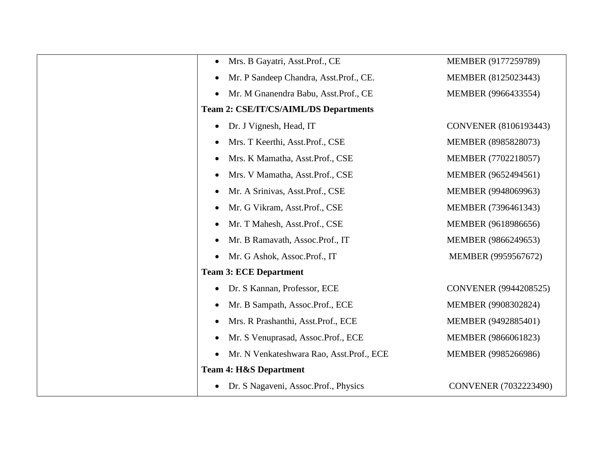| Mrs. B Gayatri, Asst.Prof., CE<br>$\bullet$           | MEMBER (9177259789)   |
|-------------------------------------------------------|-----------------------|
| Mr. P Sandeep Chandra, Asst.Prof., CE.<br>$\bullet$   | MEMBER (8125023443)   |
| Mr. M Gnanendra Babu, Asst.Prof., CE<br>$\bullet$     | MEMBER (9966433554)   |
| <b>Team 2: CSE/IT/CS/AIML/DS Departments</b>          |                       |
| Dr. J Vignesh, Head, IT<br>$\bullet$                  | CONVENER (8106193443) |
| Mrs. T Keerthi, Asst.Prof., CSE<br>$\bullet$          | MEMBER (8985828073)   |
| Mrs. K Mamatha, Asst.Prof., CSE<br>$\bullet$          | MEMBER (7702218057)   |
| Mrs. V Mamatha, Asst.Prof., CSE<br>$\bullet$          | MEMBER (9652494561)   |
| Mr. A Srinivas, Asst.Prof., CSE<br>$\bullet$          | MEMBER (9948069963)   |
| Mr. G Vikram, Asst.Prof., CSE<br>$\bullet$            | MEMBER (7396461343)   |
| Mr. T Mahesh, Asst.Prof., CSE<br>$\bullet$            | MEMBER (9618986656)   |
| Mr. B Ramavath, Assoc.Prof., IT<br>$\bullet$          | MEMBER (9866249653)   |
| Mr. G Ashok, Assoc.Prof., IT<br>$\bullet$             | MEMBER (9959567672)   |
| <b>Team 3: ECE Department</b>                         |                       |
| Dr. S Kannan, Professor, ECE<br>$\bullet$             | CONVENER (9944208525) |
| Mr. B Sampath, Assoc.Prof., ECE<br>$\bullet$          | MEMBER (9908302824)   |
| Mrs. R Prashanthi, Asst.Prof., ECE<br>$\bullet$       | MEMBER (9492885401)   |
| Mr. S Venuprasad, Assoc.Prof., ECE<br>$\bullet$       | MEMBER (9866061823)   |
| Mr. N Venkateshwara Rao, Asst.Prof., ECE<br>$\bullet$ | MEMBER (9985266986)   |
| <b>Team 4: H&amp;S Department</b>                     |                       |
| Dr. S Nagaveni, Assoc.Prof., Physics<br>$\bullet$     | CONVENER (7032223490) |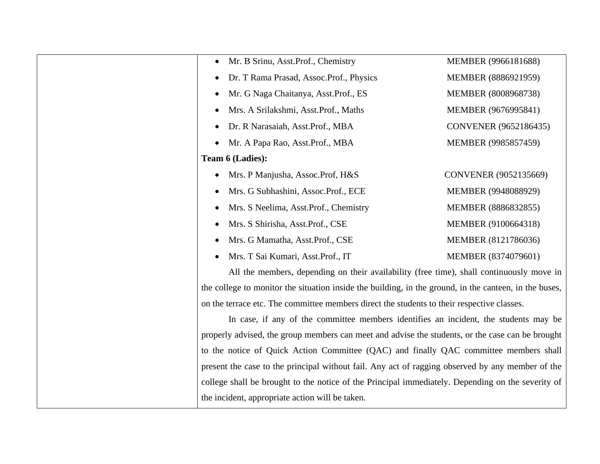| Mr. B Srinu, Asst.Prof., Chemistry                                                                     | MEMBER (9966181688)          |
|--------------------------------------------------------------------------------------------------------|------------------------------|
| Dr. T Rama Prasad, Assoc.Prof., Physics                                                                | MEMBER (8886921959)          |
| Mr. G Naga Chaitanya, Asst.Prof., ES<br>$\bullet$                                                      | MEMBER (8008968738)          |
| Mrs. A Srilakshmi, Asst.Prof., Maths<br>$\bullet$                                                      | MEMBER (9676995841)          |
| Dr. R Narasaiah, Asst.Prof., MBA<br>٠                                                                  | <b>CONVENER</b> (9652186435) |
| Mr. A Papa Rao, Asst.Prof., MBA<br>$\bullet$                                                           | MEMBER (9985857459)          |
| Team 6 (Ladies):                                                                                       |                              |
| Mrs. P Manjusha, Assoc.Prof, H&S                                                                       | CONVENER (9052135669)        |
| Mrs. G Subhashini, Assoc.Prof., ECE                                                                    | MEMBER (9948088929)          |
| Mrs. S Neelima, Asst. Prof., Chemistry<br>$\bullet$                                                    | MEMBER (8886832855)          |
| Mrs. S Shirisha, Asst.Prof., CSE<br>$\bullet$                                                          | MEMBER (9100664318)          |
| Mrs. G Mamatha, Asst.Prof., CSE<br>٠                                                                   | MEMBER (8121786036)          |
| Mrs. T Sai Kumari, Asst.Prof., IT                                                                      | MEMBER (8374079601)          |
| All the members, depending on their availability (free time), shall continuously move in               |                              |
| the college to monitor the situation inside the building, in the ground, in the canteen, in the buses, |                              |
| on the terrace etc. The committee members direct the students to their respective classes.             |                              |
| In case, if any of the committee members identifies an incident, the students may be                   |                              |
| properly advised, the group members can meet and advise the students, or the case can be brought       |                              |
| to the notice of Quick Action Committee (QAC) and finally QAC committee members shall                  |                              |
| present the case to the principal without fail. Any act of ragging observed by any member of the       |                              |
| college shall be brought to the notice of the Principal immediately. Depending on the severity of      |                              |
| the incident, appropriate action will be taken.                                                        |                              |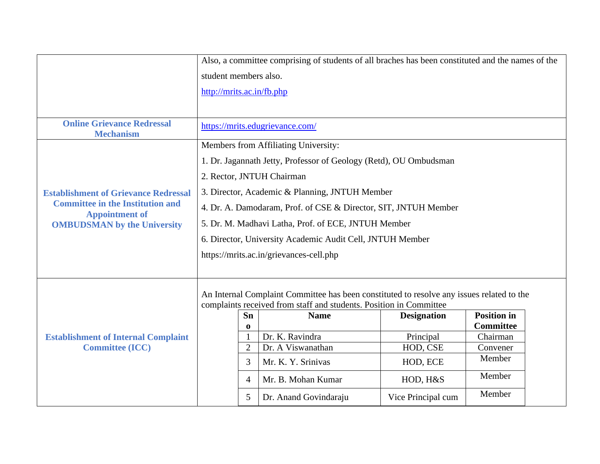|                                                             | Also, a committee comprising of students of all braches has been constituted and the names of the                                                               |                 |                                                                   |                    |                    |  |  |
|-------------------------------------------------------------|-----------------------------------------------------------------------------------------------------------------------------------------------------------------|-----------------|-------------------------------------------------------------------|--------------------|--------------------|--|--|
|                                                             | student members also.                                                                                                                                           |                 |                                                                   |                    |                    |  |  |
|                                                             | http://mrits.ac.in/fb.php                                                                                                                                       |                 |                                                                   |                    |                    |  |  |
|                                                             |                                                                                                                                                                 |                 |                                                                   |                    |                    |  |  |
| <b>Online Grievance Redressal</b><br><b>Mechanism</b>       |                                                                                                                                                                 |                 | https://mrits.edugrievance.com/                                   |                    |                    |  |  |
|                                                             |                                                                                                                                                                 |                 | Members from Affiliating University:                              |                    |                    |  |  |
|                                                             |                                                                                                                                                                 |                 | 1. Dr. Jagannath Jetty, Professor of Geology (Retd), OU Ombudsman |                    |                    |  |  |
|                                                             |                                                                                                                                                                 |                 | 2. Rector, JNTUH Chairman                                         |                    |                    |  |  |
| <b>Establishment of Grievance Redressal</b>                 |                                                                                                                                                                 |                 | 3. Director, Academic & Planning, JNTUH Member                    |                    |                    |  |  |
| <b>Committee in the Institution and</b>                     | 4. Dr. A. Damodaram, Prof. of CSE & Director, SIT, JNTUH Member                                                                                                 |                 |                                                                   |                    |                    |  |  |
| <b>Appointment of</b><br><b>OMBUDSMAN</b> by the University |                                                                                                                                                                 |                 | 5. Dr. M. Madhavi Latha, Prof. of ECE, JNTUH Member               |                    |                    |  |  |
|                                                             | 6. Director, University Academic Audit Cell, JNTUH Member                                                                                                       |                 |                                                                   |                    |                    |  |  |
|                                                             |                                                                                                                                                                 |                 |                                                                   |                    |                    |  |  |
|                                                             | https://mrits.ac.in/grievances-cell.php                                                                                                                         |                 |                                                                   |                    |                    |  |  |
|                                                             |                                                                                                                                                                 |                 |                                                                   |                    |                    |  |  |
|                                                             |                                                                                                                                                                 |                 |                                                                   |                    |                    |  |  |
|                                                             | An Internal Complaint Committee has been constituted to resolve any issues related to the<br>complaints received from staff and students. Position in Committee |                 |                                                                   |                    |                    |  |  |
|                                                             |                                                                                                                                                                 | Sn              | <b>Name</b>                                                       | <b>Designation</b> | <b>Position in</b> |  |  |
|                                                             |                                                                                                                                                                 | $\bf{0}$        |                                                                   |                    | <b>Committee</b>   |  |  |
| <b>Establishment of Internal Complaint</b>                  |                                                                                                                                                                 |                 | Dr. K. Ravindra                                                   | Principal          | Chairman           |  |  |
| <b>Committee (ICC)</b>                                      |                                                                                                                                                                 | $\overline{2}$  | Dr. A Viswanathan                                                 | HOD, CSE           | Convener           |  |  |
|                                                             |                                                                                                                                                                 | 3               | Mr. K. Y. Srinivas                                                | HOD, ECE           | Member             |  |  |
|                                                             |                                                                                                                                                                 | 4               | Mr. B. Mohan Kumar                                                | HOD, H&S           | Member             |  |  |
|                                                             |                                                                                                                                                                 | $5\overline{)}$ | Dr. Anand Govindaraju                                             | Vice Principal cum | Member             |  |  |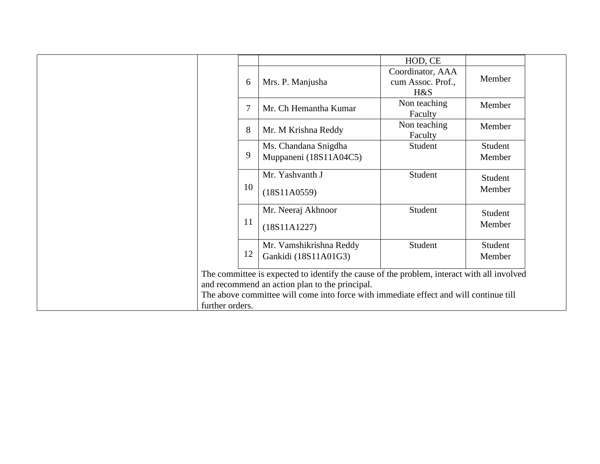|                 |    |                                                                                                                                                                                                                                       | HOD, CE                                      |                   |
|-----------------|----|---------------------------------------------------------------------------------------------------------------------------------------------------------------------------------------------------------------------------------------|----------------------------------------------|-------------------|
|                 | 6  | Mrs. P. Manjusha                                                                                                                                                                                                                      | Coordinator, AAA<br>cum Assoc. Prof.,<br>H&S | Member            |
|                 | 7  | Mr. Ch Hemantha Kumar                                                                                                                                                                                                                 | Non teaching<br>Faculty                      | Member            |
|                 | 8  | Mr. M Krishna Reddy                                                                                                                                                                                                                   | Non teaching<br>Faculty                      | Member            |
|                 | 9  | Ms. Chandana Snigdha<br>Muppaneni (18S11A04C5)                                                                                                                                                                                        | Student                                      | Student<br>Member |
|                 | 10 | Mr. Yashvanth J<br>(18S11A0559)                                                                                                                                                                                                       | Student                                      | Student<br>Member |
|                 | 11 | Mr. Neeraj Akhnoor<br>(18S11A1227)                                                                                                                                                                                                    | Student                                      | Student<br>Member |
|                 | 12 | Mr. Vamshikrishna Reddy<br>Gankidi (18S11A01G3)                                                                                                                                                                                       | Student                                      | Student<br>Member |
| further orders. |    | The committee is expected to identify the cause of the problem, interact with all involved<br>and recommend an action plan to the principal.<br>The above committee will come into force with immediate effect and will continue till |                                              |                   |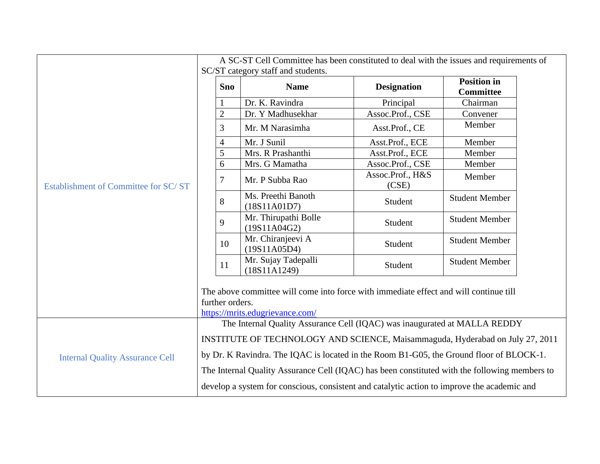|                                        |                                                                                                                                             |                                                                                             | A SC-ST Cell Committee has been constituted to deal with the issues and requirements of<br>SC/ST category staff and students. |                           |                                                                                               |  |  |
|----------------------------------------|---------------------------------------------------------------------------------------------------------------------------------------------|---------------------------------------------------------------------------------------------|-------------------------------------------------------------------------------------------------------------------------------|---------------------------|-----------------------------------------------------------------------------------------------|--|--|
|                                        |                                                                                                                                             | <b>Sno</b>                                                                                  | <b>Name</b>                                                                                                                   | <b>Designation</b>        | <b>Position in</b><br><b>Committee</b>                                                        |  |  |
|                                        |                                                                                                                                             |                                                                                             | Dr. K. Ravindra                                                                                                               | Principal                 | Chairman                                                                                      |  |  |
|                                        |                                                                                                                                             | $\overline{c}$                                                                              | Dr. Y Madhusekhar                                                                                                             | Assoc.Prof., CSE          | Convener                                                                                      |  |  |
|                                        |                                                                                                                                             | 3                                                                                           | Mr. M Narasimha                                                                                                               | Asst.Prof., CE            | Member                                                                                        |  |  |
|                                        |                                                                                                                                             | $\overline{4}$                                                                              | Mr. J Sunil                                                                                                                   | Asst.Prof., ECE           | Member                                                                                        |  |  |
|                                        |                                                                                                                                             | 5                                                                                           | Mrs. R Prashanthi                                                                                                             | Asst.Prof., ECE           | Member                                                                                        |  |  |
|                                        |                                                                                                                                             | 6                                                                                           | Mrs. G Mamatha                                                                                                                | Assoc.Prof., CSE          | Member                                                                                        |  |  |
| Establishment of Committee for SC/ST   |                                                                                                                                             | 7                                                                                           | Mr. P Subba Rao                                                                                                               | Assoc.Prof., H&S<br>(CSE) | Member                                                                                        |  |  |
|                                        |                                                                                                                                             | 8                                                                                           | Ms. Preethi Banoth<br>(18S11A01D7)                                                                                            | Student                   | <b>Student Member</b>                                                                         |  |  |
|                                        |                                                                                                                                             | 9                                                                                           | Mr. Thirupathi Bolle<br>(19S11A04G2)                                                                                          | Student                   | <b>Student Member</b>                                                                         |  |  |
|                                        |                                                                                                                                             | 10                                                                                          | Mr. Chiranjeevi A<br>(19S11A05D4)                                                                                             | Student                   | <b>Student Member</b>                                                                         |  |  |
|                                        |                                                                                                                                             | 11                                                                                          | Mr. Sujay Tadepalli<br>(18S11A1249)                                                                                           | Student                   | <b>Student Member</b>                                                                         |  |  |
|                                        | The above committee will come into force with immediate effect and will continue till<br>further orders.<br>https://mrits.edugrievance.com/ |                                                                                             |                                                                                                                               |                           |                                                                                               |  |  |
|                                        |                                                                                                                                             |                                                                                             | The Internal Quality Assurance Cell (IQAC) was inaugurated at MALLA REDDY                                                     |                           |                                                                                               |  |  |
|                                        | INSTITUTE OF TECHNOLOGY AND SCIENCE, Maisammaguda, Hyderabad on July 27, 2011                                                               |                                                                                             |                                                                                                                               |                           |                                                                                               |  |  |
| <b>Internal Quality Assurance Cell</b> |                                                                                                                                             |                                                                                             | by Dr. K Ravindra. The IQAC is located in the Room B1-G05, the Ground floor of BLOCK-1.                                       |                           |                                                                                               |  |  |
|                                        |                                                                                                                                             |                                                                                             |                                                                                                                               |                           | The Internal Quality Assurance Cell (IQAC) has been constituted with the following members to |  |  |
|                                        |                                                                                                                                             | develop a system for conscious, consistent and catalytic action to improve the academic and |                                                                                                                               |                           |                                                                                               |  |  |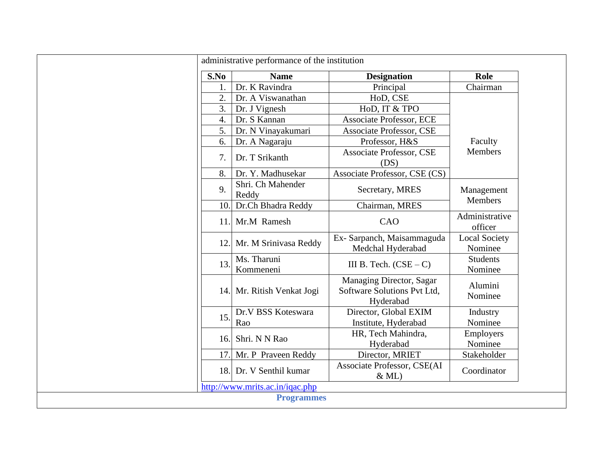|                  | administrative performance of the institution        |                                                                      |                                 |
|------------------|------------------------------------------------------|----------------------------------------------------------------------|---------------------------------|
| S.No             | <b>Name</b>                                          | <b>Designation</b>                                                   | Role                            |
| 1.               | Dr. K Ravindra                                       | Principal                                                            | Chairman                        |
| $\overline{2}$ . | Dr. A Viswanathan                                    | HoD, CSE                                                             |                                 |
| 3.               | Dr. J Vignesh                                        | HoD, IT & TPO                                                        |                                 |
| $\overline{4}$ . | Dr. S Kannan                                         | <b>Associate Professor, ECE</b>                                      |                                 |
| 5.               | Dr. N Vinayakumari                                   | <b>Associate Professor, CSE</b>                                      |                                 |
| 6.               | Dr. A Nagaraju                                       | Professor, H&S                                                       | Faculty                         |
| 7.               | Dr. T Srikanth                                       | <b>Associate Professor, CSE</b><br>(DS)                              | <b>Members</b>                  |
| 8.               | Dr. Y. Madhusekar                                    | Associate Professor, CSE (CS)                                        |                                 |
| 9.               | Shri. Ch Mahender<br>Reddy                           | Secretary, MRES                                                      | Management                      |
| 10.              | Dr.Ch Bhadra Reddy                                   | Chairman, MRES                                                       | <b>Members</b>                  |
| 11.              | Mr.M Ramesh                                          | CAO                                                                  | Administrative<br>officer       |
| 12.              | Mr. M Srinivasa Reddy                                | Ex- Sarpanch, Maisammaguda<br>Medchal Hyderabad                      | <b>Local Society</b><br>Nominee |
| 13.              | Ms. Tharuni<br>Kommeneni                             | III B. Tech. $(CSE - C)$                                             | <b>Students</b><br>Nominee      |
| 14.              | Mr. Ritish Venkat Jogi                               | Managing Director, Sagar<br>Software Solutions Pvt Ltd,<br>Hyderabad | Alumini<br>Nominee              |
| 15.              | Dr.V BSS Koteswara<br>Rao                            | Director, Global EXIM<br>Institute, Hyderabad                        | Industry<br>Nominee             |
| 16.              | Shri. N N Rao                                        | HR, Tech Mahindra,<br>Hyderabad                                      | Employers<br>Nominee            |
| 17.              | Mr. P Praveen Reddy                                  | Director, MRIET                                                      | Stakeholder                     |
| 18.              | Dr. V Senthil kumar                                  | Associate Professor, CSE(AI<br>$&$ ML)                               | Coordinator                     |
|                  | http://www.mrits.ac.in/iqac.php<br><b>Programmes</b> |                                                                      |                                 |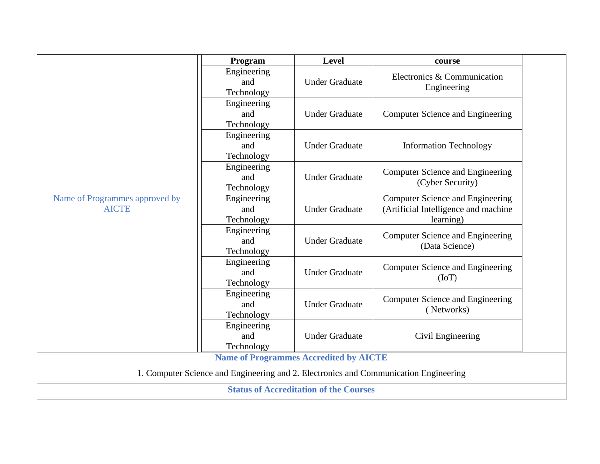|                                | Program     | Level                                         | course                                                                               |  |
|--------------------------------|-------------|-----------------------------------------------|--------------------------------------------------------------------------------------|--|
|                                | Engineering |                                               | Electronics & Communication                                                          |  |
|                                | and         | <b>Under Graduate</b>                         |                                                                                      |  |
|                                | Technology  |                                               | Engineering                                                                          |  |
|                                | Engineering |                                               |                                                                                      |  |
|                                | and         | <b>Under Graduate</b>                         | Computer Science and Engineering                                                     |  |
|                                | Technology  |                                               |                                                                                      |  |
|                                | Engineering |                                               |                                                                                      |  |
|                                | and         | <b>Under Graduate</b>                         | <b>Information Technology</b>                                                        |  |
|                                | Technology  |                                               |                                                                                      |  |
|                                | Engineering |                                               | <b>Computer Science and Engineering</b>                                              |  |
|                                | and         | <b>Under Graduate</b>                         | (Cyber Security)                                                                     |  |
|                                | Technology  |                                               |                                                                                      |  |
| Name of Programmes approved by | Engineering |                                               | <b>Computer Science and Engineering</b>                                              |  |
| <b>AICTE</b>                   | and         | <b>Under Graduate</b>                         | (Artificial Intelligence and machine                                                 |  |
|                                | Technology  |                                               | learning)                                                                            |  |
|                                | Engineering |                                               | Computer Science and Engineering                                                     |  |
|                                | and         | <b>Under Graduate</b>                         | (Data Science)                                                                       |  |
|                                | Technology  |                                               |                                                                                      |  |
|                                | Engineering |                                               | Computer Science and Engineering                                                     |  |
|                                | and         | <b>Under Graduate</b>                         | (IoT)                                                                                |  |
|                                | Technology  |                                               |                                                                                      |  |
|                                | Engineering |                                               | Computer Science and Engineering                                                     |  |
|                                | and         | <b>Under Graduate</b>                         | (Networks)                                                                           |  |
|                                | Technology  |                                               |                                                                                      |  |
|                                | Engineering |                                               |                                                                                      |  |
|                                | and         | <b>Under Graduate</b>                         | Civil Engineering                                                                    |  |
|                                | Technology  |                                               |                                                                                      |  |
|                                |             | <b>Name of Programmes Accredited by AICTE</b> |                                                                                      |  |
|                                |             |                                               | 1. Computer Science and Engineering and 2. Electronics and Communication Engineering |  |
|                                |             | <b>Status of Accreditation of the Courses</b> |                                                                                      |  |
|                                |             |                                               |                                                                                      |  |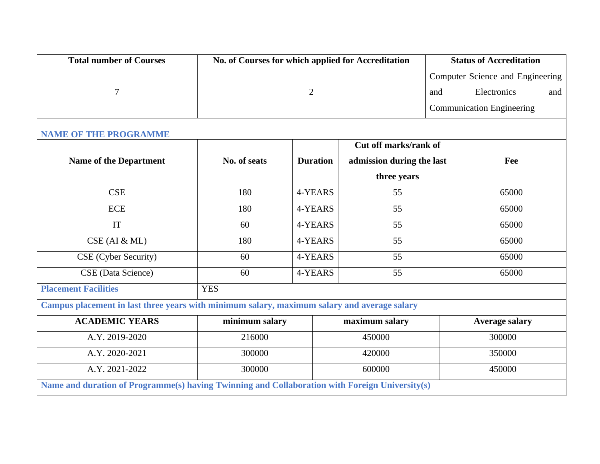| <b>Total number of Courses</b>                                                                 | No. of Courses for which applied for Accreditation |                 |                           |  | <b>Status of Accreditation</b>   |  |
|------------------------------------------------------------------------------------------------|----------------------------------------------------|-----------------|---------------------------|--|----------------------------------|--|
|                                                                                                |                                                    |                 |                           |  | Computer Science and Engineering |  |
| 7                                                                                              |                                                    | $\overline{2}$  |                           |  | Electronics<br>and               |  |
|                                                                                                |                                                    |                 |                           |  | <b>Communication Engineering</b> |  |
| <b>NAME OF THE PROGRAMME</b>                                                                   |                                                    |                 |                           |  |                                  |  |
|                                                                                                |                                                    |                 | Cut off marks/rank of     |  |                                  |  |
| <b>Name of the Department</b>                                                                  | No. of seats                                       | <b>Duration</b> | admission during the last |  | Fee                              |  |
|                                                                                                |                                                    |                 | three years               |  |                                  |  |
| <b>CSE</b>                                                                                     | 180                                                | 4-YEARS         |                           |  | 65000                            |  |
| <b>ECE</b>                                                                                     | 180                                                | 4-YEARS         | 55                        |  | 65000                            |  |
| <b>IT</b>                                                                                      | 60                                                 | 4-YEARS         | 55                        |  | 65000                            |  |
| CSE (AI & ML)                                                                                  | 180                                                | 4-YEARS         |                           |  | 65000                            |  |
| CSE (Cyber Security)                                                                           | 60                                                 | 4-YEARS         | 55                        |  | 65000                            |  |
| CSE (Data Science)                                                                             | 60                                                 | 4-YEARS         | 55                        |  | 65000                            |  |
| <b>Placement Facilities</b>                                                                    | <b>YES</b>                                         |                 |                           |  |                                  |  |
| Campus placement in last three years with minimum salary, maximum salary and average salary    |                                                    |                 |                           |  |                                  |  |
| <b>ACADEMIC YEARS</b>                                                                          | minimum salary                                     |                 | maximum salary            |  | <b>Average salary</b>            |  |
| A.Y. 2019-2020                                                                                 | 216000                                             |                 | 450000                    |  | 300000                           |  |
| A.Y. 2020-2021                                                                                 | 300000                                             |                 | 420000                    |  | 350000                           |  |
| A.Y. 2021-2022                                                                                 | 300000                                             |                 | 600000                    |  | 450000                           |  |
| Name and duration of Programme(s) having Twinning and Collaboration with Foreign University(s) |                                                    |                 |                           |  |                                  |  |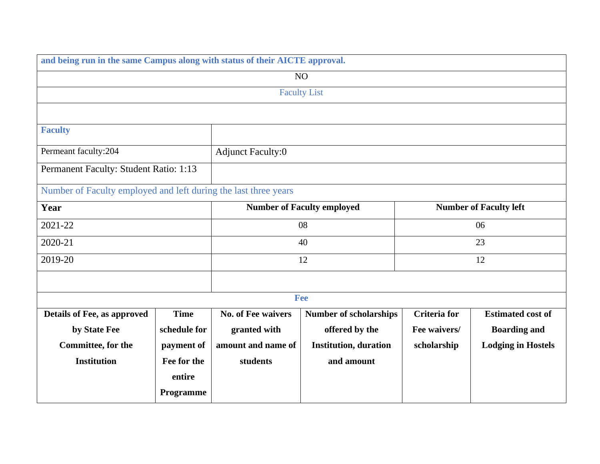| and being run in the same Campus along with status of their AICTE approval. |                     |                                                                    |                               |                     |                           |  |
|-----------------------------------------------------------------------------|---------------------|--------------------------------------------------------------------|-------------------------------|---------------------|---------------------------|--|
|                                                                             |                     |                                                                    | NO                            |                     |                           |  |
|                                                                             | <b>Faculty List</b> |                                                                    |                               |                     |                           |  |
|                                                                             |                     |                                                                    |                               |                     |                           |  |
| <b>Faculty</b>                                                              |                     |                                                                    |                               |                     |                           |  |
| Permeant faculty:204<br><b>Adjunct Faculty:0</b>                            |                     |                                                                    |                               |                     |                           |  |
| Permanent Faculty: Student Ratio: 1:13                                      |                     |                                                                    |                               |                     |                           |  |
| Number of Faculty employed and left during the last three years             |                     |                                                                    |                               |                     |                           |  |
| Year                                                                        |                     | <b>Number of Faculty employed</b><br><b>Number of Faculty left</b> |                               |                     |                           |  |
| 2021-22                                                                     |                     |                                                                    | 08                            | 06                  |                           |  |
| 2020-21                                                                     |                     |                                                                    |                               | 40<br>23            |                           |  |
| 2019-20                                                                     |                     | 12                                                                 |                               |                     | 12                        |  |
|                                                                             |                     |                                                                    |                               |                     |                           |  |
|                                                                             |                     |                                                                    | Fee                           |                     |                           |  |
| Details of Fee, as approved                                                 | <b>Time</b>         | <b>No. of Fee waivers</b>                                          | <b>Number of scholarships</b> | <b>Criteria</b> for | <b>Estimated cost of</b>  |  |
| by State Fee                                                                | schedule for        | granted with                                                       | offered by the                | Fee waivers/        | <b>Boarding and</b>       |  |
| Committee, for the                                                          | payment of          | amount and name of                                                 | <b>Institution, duration</b>  | scholarship         | <b>Lodging in Hostels</b> |  |
| <b>Institution</b>                                                          | Fee for the         | students                                                           | and amount                    |                     |                           |  |
|                                                                             | entire              |                                                                    |                               |                     |                           |  |
|                                                                             | Programme           |                                                                    |                               |                     |                           |  |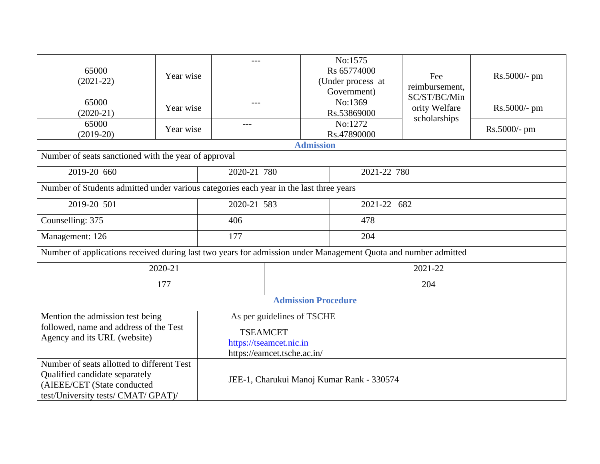| 65000<br>$(2021-22)$                                                                                                                               | Year wise | $---$                                     |                            |                            | No:1575<br>Rs 65774000<br>(Under process at<br>Government) | Fee<br>reimbursement,                         | Rs.5000/- pm |  |
|----------------------------------------------------------------------------------------------------------------------------------------------------|-----------|-------------------------------------------|----------------------------|----------------------------|------------------------------------------------------------|-----------------------------------------------|--------------|--|
| 65000<br>$(2020-21)$                                                                                                                               | Year wise | $---$                                     |                            |                            | No:1369<br>Rs.53869000                                     | SC/ST/BC/Min<br>ority Welfare<br>scholarships | Rs.5000/- pm |  |
| 65000<br>$(2019-20)$                                                                                                                               | Year wise | $---$                                     |                            |                            | No:1272<br>Rs.47890000                                     |                                               | Rs.5000/- pm |  |
|                                                                                                                                                    |           |                                           |                            | <b>Admission</b>           |                                                            |                                               |              |  |
| Number of seats sanctioned with the year of approval                                                                                               |           |                                           |                            |                            |                                                            |                                               |              |  |
| 2019-20 660                                                                                                                                        |           | 2020-21 780                               |                            |                            | 2021-22 780                                                |                                               |              |  |
| Number of Students admitted under various categories each year in the last three years                                                             |           |                                           |                            |                            |                                                            |                                               |              |  |
| 2019-20 501                                                                                                                                        |           | 2020-21 583                               |                            |                            | 2021-22 682                                                |                                               |              |  |
| Counselling: 375                                                                                                                                   |           | 406                                       |                            |                            | 478                                                        |                                               |              |  |
| Management: 126                                                                                                                                    |           | 177                                       |                            |                            | 204                                                        |                                               |              |  |
| Number of applications received during last two years for admission under Management Quota and number admitted                                     |           |                                           |                            |                            |                                                            |                                               |              |  |
|                                                                                                                                                    | 2020-21   |                                           |                            |                            |                                                            | 2021-22                                       |              |  |
| 177                                                                                                                                                |           |                                           | 204                        |                            |                                                            |                                               |              |  |
|                                                                                                                                                    |           |                                           |                            | <b>Admission Procedure</b> |                                                            |                                               |              |  |
| Mention the admission test being                                                                                                                   |           |                                           | As per guidelines of TSCHE |                            |                                                            |                                               |              |  |
| followed, name and address of the Test                                                                                                             |           | <b>TSEAMCET</b>                           |                            |                            |                                                            |                                               |              |  |
| Agency and its URL (website)                                                                                                                       |           | https://tseamcet.nic.in                   |                            |                            |                                                            |                                               |              |  |
|                                                                                                                                                    |           | https://eamcet.tsche.ac.in/               |                            |                            |                                                            |                                               |              |  |
| Number of seats allotted to different Test<br>Qualified candidate separately<br>(AIEEE/CET (State conducted<br>test/University tests/ CMAT/ GPAT)/ |           | JEE-1, Charukui Manoj Kumar Rank - 330574 |                            |                            |                                                            |                                               |              |  |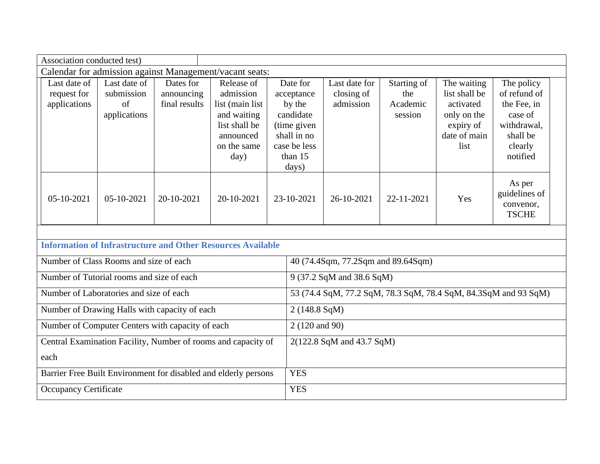| Association conducted test)                                     |                                                          |                                          |                                                                                                                |                                                                                                                 |                                                                 |                                           |                                                                                               |                                                                                                        |  |
|-----------------------------------------------------------------|----------------------------------------------------------|------------------------------------------|----------------------------------------------------------------------------------------------------------------|-----------------------------------------------------------------------------------------------------------------|-----------------------------------------------------------------|-------------------------------------------|-----------------------------------------------------------------------------------------------|--------------------------------------------------------------------------------------------------------|--|
|                                                                 |                                                          |                                          | Calendar for admission against Management/vacant seats:                                                        |                                                                                                                 |                                                                 |                                           |                                                                                               |                                                                                                        |  |
| Last date of<br>request for<br>applications                     | Last date of<br>submission<br>$\sigma$ f<br>applications | Dates for<br>announcing<br>final results | Release of<br>admission<br>list (main list<br>and waiting<br>list shall be<br>announced<br>on the same<br>day) | Date for<br>acceptance<br>by the<br>candidate<br>(time given<br>shall in no<br>case be less<br>than 15<br>days) | Last date for<br>closing of<br>admission                        | Starting of<br>the<br>Academic<br>session | The waiting<br>list shall be<br>activated<br>only on the<br>expiry of<br>date of main<br>list | The policy<br>of refund of<br>the Fee, in<br>case of<br>withdrawal,<br>shall be<br>clearly<br>notified |  |
| 05-10-2021                                                      | 05-10-2021                                               | 20-10-2021                               | 20-10-2021                                                                                                     | 23-10-2021                                                                                                      | 26-10-2021                                                      | 22-11-2021                                | Yes                                                                                           | As per<br>guidelines of<br>convenor,<br><b>TSCHE</b>                                                   |  |
|                                                                 |                                                          |                                          | <b>Information of Infrastructure and Other Resources Available</b>                                             |                                                                                                                 |                                                                 |                                           |                                                                                               |                                                                                                        |  |
| Number of Class Rooms and size of each                          |                                                          |                                          |                                                                                                                |                                                                                                                 | 40 (74.4Sqm, 77.2Sqm and 89.64Sqm)                              |                                           |                                                                                               |                                                                                                        |  |
| Number of Tutorial rooms and size of each                       |                                                          |                                          |                                                                                                                |                                                                                                                 | 9 (37.2 SqM and 38.6 SqM)                                       |                                           |                                                                                               |                                                                                                        |  |
| Number of Laboratories and size of each                         |                                                          |                                          |                                                                                                                |                                                                                                                 | 53 (74.4 SqM, 77.2 SqM, 78.3 SqM, 78.4 SqM, 84.3SqM and 93 SqM) |                                           |                                                                                               |                                                                                                        |  |
| Number of Drawing Halls with capacity of each                   |                                                          |                                          |                                                                                                                |                                                                                                                 | 2 (148.8 SqM)                                                   |                                           |                                                                                               |                                                                                                        |  |
| Number of Computer Centers with capacity of each                |                                                          |                                          |                                                                                                                |                                                                                                                 | 2 (120 and 90)                                                  |                                           |                                                                                               |                                                                                                        |  |
| Central Examination Facility, Number of rooms and capacity of   |                                                          |                                          |                                                                                                                |                                                                                                                 | 2(122.8 SqM and 43.7 SqM)                                       |                                           |                                                                                               |                                                                                                        |  |
| each                                                            |                                                          |                                          |                                                                                                                |                                                                                                                 |                                                                 |                                           |                                                                                               |                                                                                                        |  |
| Barrier Free Built Environment for disabled and elderly persons |                                                          |                                          |                                                                                                                | <b>YES</b>                                                                                                      |                                                                 |                                           |                                                                                               |                                                                                                        |  |
| <b>Occupancy Certificate</b>                                    |                                                          |                                          |                                                                                                                | <b>YES</b>                                                                                                      |                                                                 |                                           |                                                                                               |                                                                                                        |  |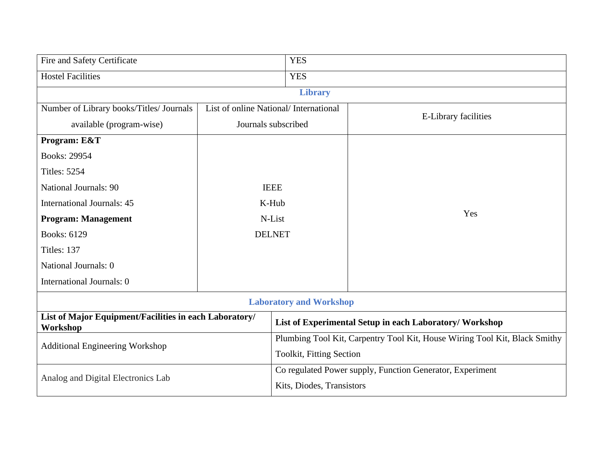| Fire and Safety Certificate                                        |                                       | <b>YES</b>                                                                 |                      |  |
|--------------------------------------------------------------------|---------------------------------------|----------------------------------------------------------------------------|----------------------|--|
| <b>Hostel Facilities</b>                                           |                                       | <b>YES</b>                                                                 |                      |  |
|                                                                    |                                       | <b>Library</b>                                                             |                      |  |
| Number of Library books/Titles/ Journals                           | List of online National/International |                                                                            | E-Library facilities |  |
| available (program-wise)                                           | Journals subscribed                   |                                                                            |                      |  |
| Program: E&T                                                       |                                       |                                                                            |                      |  |
| Books: 29954                                                       |                                       |                                                                            |                      |  |
| <b>Titles: 5254</b>                                                |                                       |                                                                            |                      |  |
| <b>National Journals: 90</b>                                       | <b>IEEE</b>                           |                                                                            |                      |  |
| <b>International Journals: 45</b>                                  | K-Hub                                 |                                                                            |                      |  |
| <b>Program: Management</b>                                         | N-List                                |                                                                            | Yes                  |  |
| <b>Books: 6129</b>                                                 | <b>DELNET</b>                         |                                                                            |                      |  |
| Titles: 137                                                        |                                       |                                                                            |                      |  |
| National Journals: 0                                               |                                       |                                                                            |                      |  |
| International Journals: 0                                          |                                       |                                                                            |                      |  |
| <b>Laboratory and Workshop</b>                                     |                                       |                                                                            |                      |  |
| List of Major Equipment/Facilities in each Laboratory/<br>Workshop |                                       | List of Experimental Setup in each Laboratory/ Workshop                    |                      |  |
| Additional Engineering Workshop                                    |                                       | Plumbing Tool Kit, Carpentry Tool Kit, House Wiring Tool Kit, Black Smithy |                      |  |
|                                                                    |                                       | Toolkit, Fitting Section                                                   |                      |  |
| Analog and Digital Electronics Lab                                 |                                       | Co regulated Power supply, Function Generator, Experiment                  |                      |  |
|                                                                    |                                       | Kits, Diodes, Transistors                                                  |                      |  |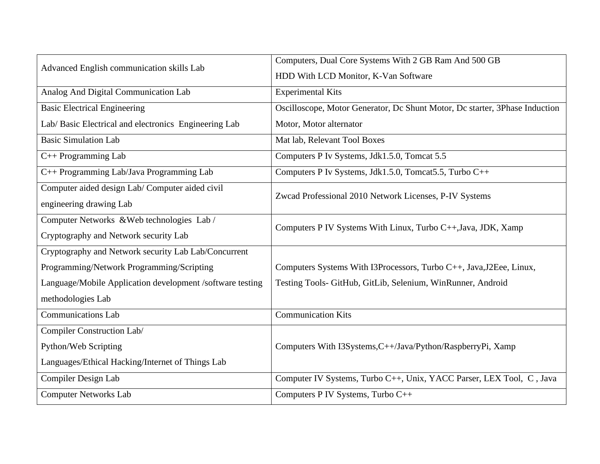| Advanced English communication skills Lab                 | Computers, Dual Core Systems With 2 GB Ram And 500 GB                       |  |  |  |  |
|-----------------------------------------------------------|-----------------------------------------------------------------------------|--|--|--|--|
|                                                           | HDD With LCD Monitor, K-Van Software                                        |  |  |  |  |
| Analog And Digital Communication Lab                      | <b>Experimental Kits</b>                                                    |  |  |  |  |
| <b>Basic Electrical Engineering</b>                       | Oscilloscope, Motor Generator, Dc Shunt Motor, Dc starter, 3Phase Induction |  |  |  |  |
| Lab/Basic Electrical and electronics Engineering Lab      | Motor, Motor alternator                                                     |  |  |  |  |
| <b>Basic Simulation Lab</b>                               | Mat lab, Relevant Tool Boxes                                                |  |  |  |  |
| C++ Programming Lab                                       | Computers P Iv Systems, Jdk1.5.0, Tomcat 5.5                                |  |  |  |  |
| C++ Programming Lab/Java Programming Lab                  | Computers P Iv Systems, Jdk1.5.0, Tomcat5.5, Turbo C++                      |  |  |  |  |
| Computer aided design Lab/ Computer aided civil           | Zwcad Professional 2010 Network Licenses, P-IV Systems                      |  |  |  |  |
| engineering drawing Lab                                   |                                                                             |  |  |  |  |
| Computer Networks & Web technologies Lab/                 | Computers P IV Systems With Linux, Turbo C++, Java, JDK, Xamp               |  |  |  |  |
| Cryptography and Network security Lab                     |                                                                             |  |  |  |  |
| Cryptography and Network security Lab Lab/Concurrent      |                                                                             |  |  |  |  |
| Programming/Network Programming/Scripting                 | Computers Systems With I3Processors, Turbo C++, Java, J2Eee, Linux,         |  |  |  |  |
| Language/Mobile Application development /software testing | Testing Tools- GitHub, GitLib, Selenium, WinRunner, Android                 |  |  |  |  |
| methodologies Lab                                         |                                                                             |  |  |  |  |
| <b>Communications Lab</b>                                 | <b>Communication Kits</b>                                                   |  |  |  |  |
| Compiler Construction Lab/                                |                                                                             |  |  |  |  |
| Python/Web Scripting                                      | Computers With I3Systems, C++/Java/Python/RaspberryPi, Xamp                 |  |  |  |  |
| Languages/Ethical Hacking/Internet of Things Lab          |                                                                             |  |  |  |  |
| Compiler Design Lab                                       | Computer IV Systems, Turbo C++, Unix, YACC Parser, LEX Tool, C, Java        |  |  |  |  |
| <b>Computer Networks Lab</b>                              | Computers P IV Systems, Turbo C++                                           |  |  |  |  |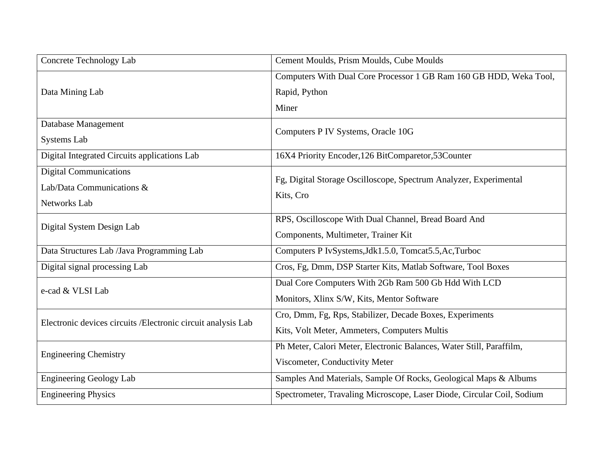| <b>Concrete Technology Lab</b>                               | Cement Moulds, Prism Moulds, Cube Moulds                               |
|--------------------------------------------------------------|------------------------------------------------------------------------|
|                                                              | Computers With Dual Core Processor 1 GB Ram 160 GB HDD, Weka Tool,     |
| Data Mining Lab                                              | Rapid, Python                                                          |
|                                                              | Miner                                                                  |
| Database Management                                          | Computers P IV Systems, Oracle 10G                                     |
| <b>Systems Lab</b>                                           |                                                                        |
| Digital Integrated Circuits applications Lab                 | 16X4 Priority Encoder, 126 BitComparetor, 53Counter                    |
| <b>Digital Communications</b>                                | Fg, Digital Storage Oscilloscope, Spectrum Analyzer, Experimental      |
| Lab/Data Communications &                                    | Kits, Cro                                                              |
| Networks Lab                                                 |                                                                        |
| Digital System Design Lab                                    | RPS, Oscilloscope With Dual Channel, Bread Board And                   |
|                                                              | Components, Multimeter, Trainer Kit                                    |
| Data Structures Lab /Java Programming Lab                    | Computers P IvSystems, Jdk1.5.0, Tomcat5.5, Ac, Turboc                 |
| Digital signal processing Lab                                | Cros, Fg, Dmm, DSP Starter Kits, Matlab Software, Tool Boxes           |
| e-cad & VLSI Lab                                             | Dual Core Computers With 2Gb Ram 500 Gb Hdd With LCD                   |
|                                                              | Monitors, Xlinx S/W, Kits, Mentor Software                             |
| Electronic devices circuits /Electronic circuit analysis Lab | Cro, Dmm, Fg, Rps, Stabilizer, Decade Boxes, Experiments               |
|                                                              | Kits, Volt Meter, Ammeters, Computers Multis                           |
| <b>Engineering Chemistry</b>                                 | Ph Meter, Calori Meter, Electronic Balances, Water Still, Paraffilm,   |
|                                                              | Viscometer, Conductivity Meter                                         |
| <b>Engineering Geology Lab</b>                               | Samples And Materials, Sample Of Rocks, Geological Maps & Albums       |
| <b>Engineering Physics</b>                                   | Spectrometer, Travaling Microscope, Laser Diode, Circular Coil, Sodium |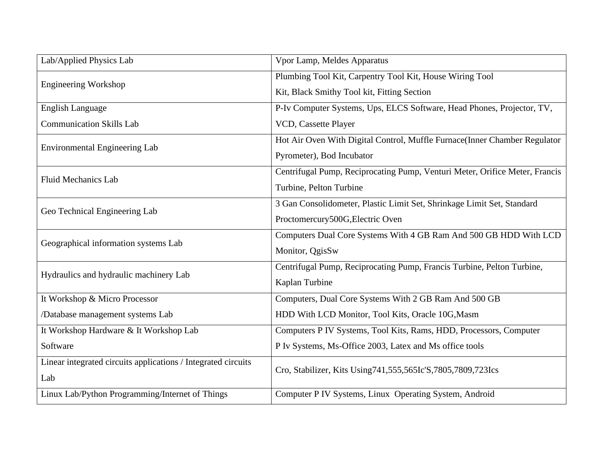| Lab/Applied Physics Lab                                       | Vpor Lamp, Meldes Apparatus                                                 |
|---------------------------------------------------------------|-----------------------------------------------------------------------------|
| <b>Engineering Workshop</b>                                   | Plumbing Tool Kit, Carpentry Tool Kit, House Wiring Tool                    |
|                                                               | Kit, Black Smithy Tool kit, Fitting Section                                 |
| <b>English Language</b>                                       | P-Iv Computer Systems, Ups, ELCS Software, Head Phones, Projector, TV,      |
| <b>Communication Skills Lab</b>                               | VCD, Cassette Player                                                        |
| <b>Environmental Engineering Lab</b>                          | Hot Air Oven With Digital Control, Muffle Furnace(Inner Chamber Regulator   |
|                                                               | Pyrometer), Bod Incubator                                                   |
| <b>Fluid Mechanics Lab</b>                                    | Centrifugal Pump, Reciprocating Pump, Venturi Meter, Orifice Meter, Francis |
|                                                               | Turbine, Pelton Turbine                                                     |
| Geo Technical Engineering Lab                                 | 3 Gan Consolidometer, Plastic Limit Set, Shrinkage Limit Set, Standard      |
|                                                               | Proctomercury500G, Electric Oven                                            |
| Geographical information systems Lab                          | Computers Dual Core Systems With 4 GB Ram And 500 GB HDD With LCD           |
|                                                               | Monitor, QgisSw                                                             |
| Hydraulics and hydraulic machinery Lab                        | Centrifugal Pump, Reciprocating Pump, Francis Turbine, Pelton Turbine,      |
|                                                               | Kaplan Turbine                                                              |
| It Workshop & Micro Processor                                 | Computers, Dual Core Systems With 2 GB Ram And 500 GB                       |
| /Database management systems Lab                              | HDD With LCD Monitor, Tool Kits, Oracle 10G, Masm                           |
| It Workshop Hardware & It Workshop Lab                        | Computers P IV Systems, Tool Kits, Rams, HDD, Processors, Computer          |
| Software                                                      | P Iv Systems, Ms-Office 2003, Latex and Ms office tools                     |
| Linear integrated circuits applications / Integrated circuits | Cro, Stabilizer, Kits Using741,555,565Ic'S,7805,7809,723Ics                 |
| Lab                                                           |                                                                             |
| Linux Lab/Python Programming/Internet of Things               | Computer P IV Systems, Linux Operating System, Android                      |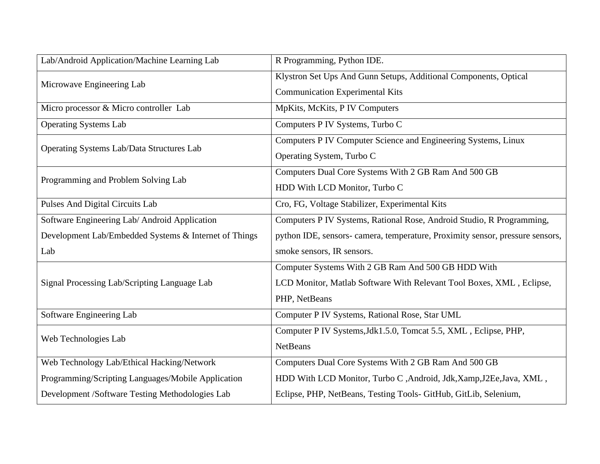| Lab/Android Application/Machine Learning Lab          | R Programming, Python IDE.                                                    |  |  |  |
|-------------------------------------------------------|-------------------------------------------------------------------------------|--|--|--|
| Microwave Engineering Lab                             | Klystron Set Ups And Gunn Setups, Additional Components, Optical              |  |  |  |
|                                                       | <b>Communication Experimental Kits</b>                                        |  |  |  |
| Micro processor & Micro controller Lab                | MpKits, McKits, P IV Computers                                                |  |  |  |
| <b>Operating Systems Lab</b>                          | Computers P IV Systems, Turbo C                                               |  |  |  |
| <b>Operating Systems Lab/Data Structures Lab</b>      | Computers P IV Computer Science and Engineering Systems, Linux                |  |  |  |
|                                                       | Operating System, Turbo C                                                     |  |  |  |
| Programming and Problem Solving Lab                   | Computers Dual Core Systems With 2 GB Ram And 500 GB                          |  |  |  |
|                                                       | HDD With LCD Monitor, Turbo C                                                 |  |  |  |
| Pulses And Digital Circuits Lab                       | Cro, FG, Voltage Stabilizer, Experimental Kits                                |  |  |  |
| Software Engineering Lab/Android Application          | Computers P IV Systems, Rational Rose, Android Studio, R Programming,         |  |  |  |
| Development Lab/Embedded Systems & Internet of Things | python IDE, sensors- camera, temperature, Proximity sensor, pressure sensors, |  |  |  |
| Lab                                                   | smoke sensors, IR sensors.                                                    |  |  |  |
|                                                       | Computer Systems With 2 GB Ram And 500 GB HDD With                            |  |  |  |
| Signal Processing Lab/Scripting Language Lab          | LCD Monitor, Matlab Software With Relevant Tool Boxes, XML, Eclipse,          |  |  |  |
|                                                       | PHP, NetBeans                                                                 |  |  |  |
| Software Engineering Lab                              | Computer P IV Systems, Rational Rose, Star UML                                |  |  |  |
| Web Technologies Lab                                  | Computer P IV Systems, Jdk1.5.0, Tomcat 5.5, XML, Eclipse, PHP,               |  |  |  |
|                                                       | <b>NetBeans</b>                                                               |  |  |  |
| Web Technology Lab/Ethical Hacking/Network            | Computers Dual Core Systems With 2 GB Ram And 500 GB                          |  |  |  |
| Programming/Scripting Languages/Mobile Application    | HDD With LCD Monitor, Turbo C, Android, Jdk, Xamp, J2Ee, Java, XML,           |  |  |  |
| Development /Software Testing Methodologies Lab       | Eclipse, PHP, NetBeans, Testing Tools- GitHub, GitLib, Selenium,              |  |  |  |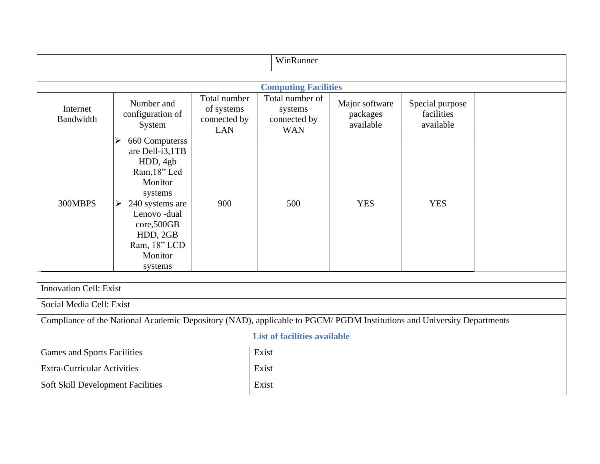| WinRunner                                                                                                              |                                                                                                                                                                                                 |                                                          |                                                          |                                         |                                            |  |  |  |  |
|------------------------------------------------------------------------------------------------------------------------|-------------------------------------------------------------------------------------------------------------------------------------------------------------------------------------------------|----------------------------------------------------------|----------------------------------------------------------|-----------------------------------------|--------------------------------------------|--|--|--|--|
|                                                                                                                        |                                                                                                                                                                                                 |                                                          |                                                          |                                         |                                            |  |  |  |  |
| <b>Computing Facilities</b>                                                                                            |                                                                                                                                                                                                 |                                                          |                                                          |                                         |                                            |  |  |  |  |
| Internet<br>Bandwidth                                                                                                  | Number and<br>configuration of<br>System                                                                                                                                                        | Total number<br>of systems<br>connected by<br><b>LAN</b> | Total number of<br>systems<br>connected by<br><b>WAN</b> | Major software<br>packages<br>available | Special purpose<br>facilities<br>available |  |  |  |  |
| 300MBPS                                                                                                                | 660 Computerss<br>➤<br>are Dell-i3,1TB<br>HDD, 4gb<br>Ram, 18" Led<br>Monitor<br>systems<br>240 systems are<br>➤<br>Lenovo-dual<br>core,500GB<br>HDD, 2GB<br>Ram, 18" LCD<br>Monitor<br>systems | 900                                                      | 500                                                      | <b>YES</b>                              | <b>YES</b>                                 |  |  |  |  |
| <b>Innovation Cell: Exist</b>                                                                                          |                                                                                                                                                                                                 |                                                          |                                                          |                                         |                                            |  |  |  |  |
| Social Media Cell: Exist                                                                                               |                                                                                                                                                                                                 |                                                          |                                                          |                                         |                                            |  |  |  |  |
| Compliance of the National Academic Depository (NAD), applicable to PGCM/ PGDM Institutions and University Departments |                                                                                                                                                                                                 |                                                          |                                                          |                                         |                                            |  |  |  |  |
| <b>List of facilities available</b>                                                                                    |                                                                                                                                                                                                 |                                                          |                                                          |                                         |                                            |  |  |  |  |
| <b>Games and Sports Facilities</b>                                                                                     |                                                                                                                                                                                                 |                                                          | Exist                                                    |                                         |                                            |  |  |  |  |
| <b>Extra-Curricular Activities</b>                                                                                     |                                                                                                                                                                                                 |                                                          | Exist                                                    |                                         |                                            |  |  |  |  |
| Soft Skill Development Facilities                                                                                      |                                                                                                                                                                                                 |                                                          | Exist                                                    |                                         |                                            |  |  |  |  |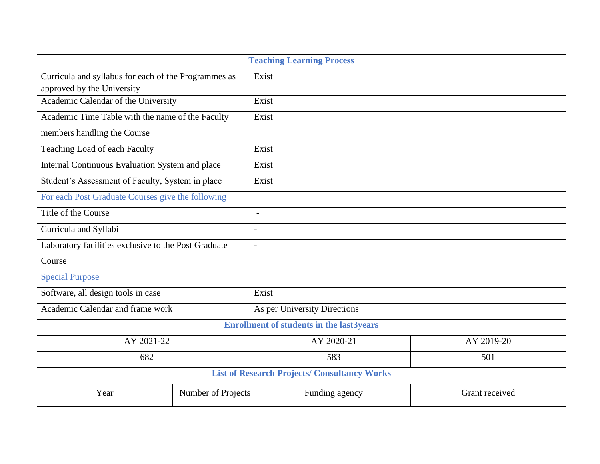| <b>Teaching Learning Process</b>                     |                    |                              |                |  |  |  |  |
|------------------------------------------------------|--------------------|------------------------------|----------------|--|--|--|--|
| Curricula and syllabus for each of the Programmes as |                    | Exist                        |                |  |  |  |  |
| approved by the University                           |                    |                              |                |  |  |  |  |
| Academic Calendar of the University                  |                    | Exist                        |                |  |  |  |  |
| Academic Time Table with the name of the Faculty     |                    | Exist                        |                |  |  |  |  |
| members handling the Course                          |                    |                              |                |  |  |  |  |
| Teaching Load of each Faculty                        |                    | Exist                        |                |  |  |  |  |
| Internal Continuous Evaluation System and place      |                    | Exist                        |                |  |  |  |  |
| Student's Assessment of Faculty, System in place     |                    | Exist                        |                |  |  |  |  |
| For each Post Graduate Courses give the following    |                    |                              |                |  |  |  |  |
| Title of the Course                                  |                    | $\overline{\phantom{a}}$     |                |  |  |  |  |
| Curricula and Syllabi                                |                    |                              |                |  |  |  |  |
| Laboratory facilities exclusive to the Post Graduate |                    |                              |                |  |  |  |  |
| Course                                               |                    |                              |                |  |  |  |  |
| <b>Special Purpose</b>                               |                    |                              |                |  |  |  |  |
| Software, all design tools in case                   |                    | Exist                        |                |  |  |  |  |
| Academic Calendar and frame work                     |                    | As per University Directions |                |  |  |  |  |
| <b>Enrollment of students in the last 3years</b>     |                    |                              |                |  |  |  |  |
| AY 2021-22                                           |                    | AY 2020-21                   | AY 2019-20     |  |  |  |  |
| 682                                                  |                    | 583                          | 501            |  |  |  |  |
| <b>List of Research Projects/ Consultancy Works</b>  |                    |                              |                |  |  |  |  |
| Year                                                 | Number of Projects | Funding agency               | Grant received |  |  |  |  |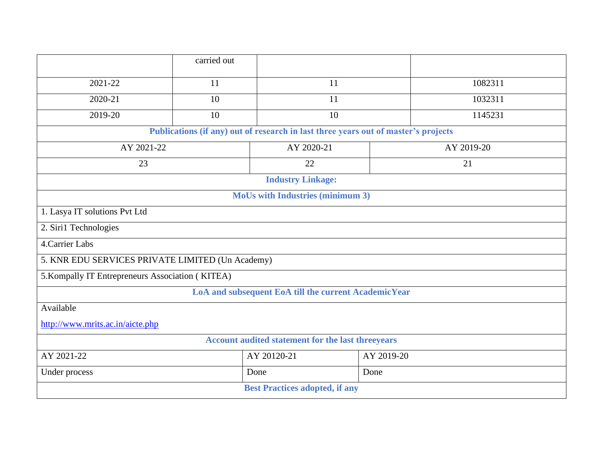|                                                                                    | carried out               |      |            |         |  |  |  |  |
|------------------------------------------------------------------------------------|---------------------------|------|------------|---------|--|--|--|--|
| 2021-22                                                                            | 11                        | 11   |            | 1082311 |  |  |  |  |
| 2020-21                                                                            | 10                        | 11   |            | 1032311 |  |  |  |  |
| 2019-20                                                                            | 10                        | 10   |            | 1145231 |  |  |  |  |
| Publications (if any) out of research in last three years out of master's projects |                           |      |            |         |  |  |  |  |
| AY 2021-22                                                                         | AY 2020-21                |      | AY 2019-20 |         |  |  |  |  |
| 23                                                                                 |                           | 22   |            | 21      |  |  |  |  |
| <b>Industry Linkage:</b>                                                           |                           |      |            |         |  |  |  |  |
| <b>MoUs with Industries (minimum 3)</b>                                            |                           |      |            |         |  |  |  |  |
| 1. Lasya IT solutions Pvt Ltd                                                      |                           |      |            |         |  |  |  |  |
| 2. Siri1 Technologies                                                              |                           |      |            |         |  |  |  |  |
| 4. Carrier Labs                                                                    |                           |      |            |         |  |  |  |  |
| 5. KNR EDU SERVICES PRIVATE LIMITED (Un Academy)                                   |                           |      |            |         |  |  |  |  |
| 5. Kompally IT Entrepreneurs Association (KITEA)                                   |                           |      |            |         |  |  |  |  |
| LoA and subsequent EoA till the current AcademicYear                               |                           |      |            |         |  |  |  |  |
| Available                                                                          |                           |      |            |         |  |  |  |  |
| http://www.mrits.ac.in/aicte.php                                                   |                           |      |            |         |  |  |  |  |
| Account audited statement for the last threeyears                                  |                           |      |            |         |  |  |  |  |
| AY 2021-22                                                                         | AY 20120-21<br>AY 2019-20 |      |            |         |  |  |  |  |
| Under process                                                                      |                           | Done | Done       |         |  |  |  |  |
| <b>Best Practices adopted, if any</b>                                              |                           |      |            |         |  |  |  |  |